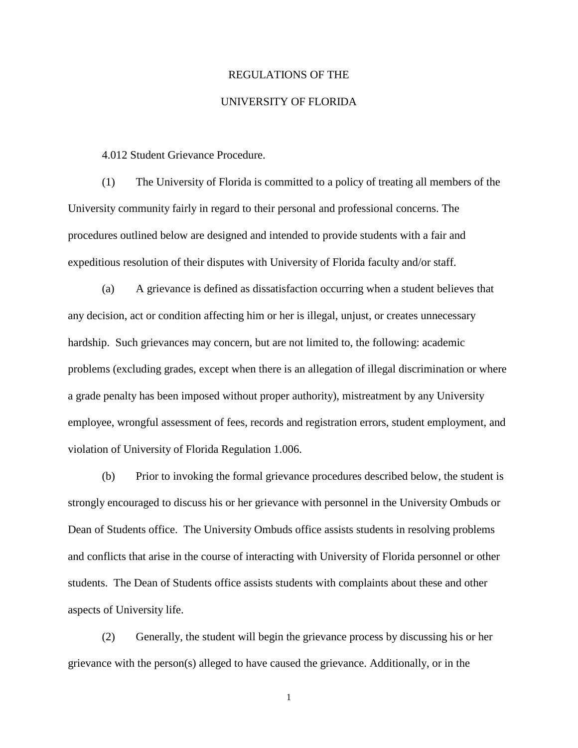## REGULATIONS OF THE

## UNIVERSITY OF FLORIDA

4.012 Student Grievance Procedure.

(1) The University of Florida is committed to a policy of treating all members of the University community fairly in regard to their personal and professional concerns. The procedures outlined below are designed and intended to provide students with a fair and expeditious resolution of their disputes with University of Florida faculty and/or staff.

(a) A grievance is defined as dissatisfaction occurring when a student believes that any decision, act or condition affecting him or her is illegal, unjust, or creates unnecessary hardship. Such grievances may concern, but are not limited to, the following: academic problems (excluding grades, except when there is an allegation of illegal discrimination or where a grade penalty has been imposed without proper authority), mistreatment by any University employee, wrongful assessment of fees, records and registration errors, student employment, and violation of University of Florida Regulation 1.006.

(b) Prior to invoking the formal grievance procedures described below, the student is strongly encouraged to discuss his or her grievance with personnel in the University Ombuds or Dean of Students office. The University Ombuds office assists students in resolving problems and conflicts that arise in the course of interacting with University of Florida personnel or other students. The Dean of Students office assists students with complaints about these and other aspects of University life.

(2) Generally, the student will begin the grievance process by discussing his or her grievance with the person(s) alleged to have caused the grievance. Additionally, or in the

1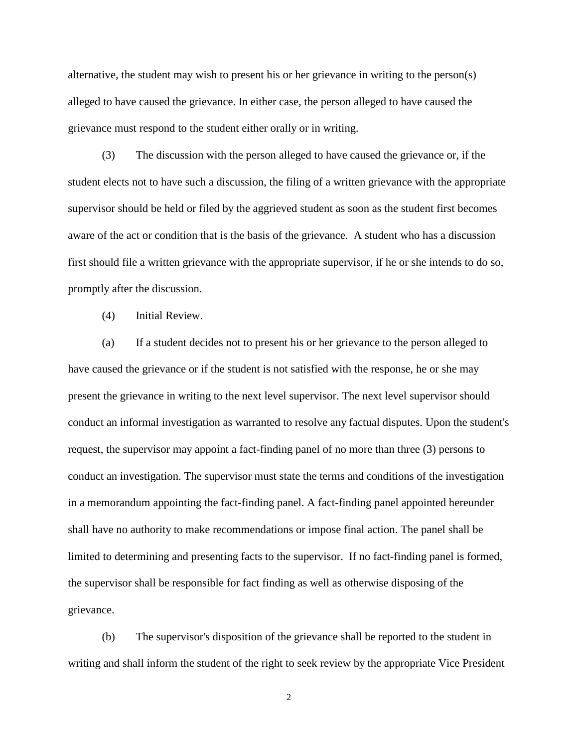alternative, the student may wish to present his or her grievance in writing to the person(s) alleged to have caused the grievance. In either case, the person alleged to have caused the grievance must respond to the student either orally or in writing.

(3) The discussion with the person alleged to have caused the grievance or, if the student elects not to have such a discussion, the filing of a written grievance with the appropriate supervisor should be held or filed by the aggrieved student as soon as the student first becomes aware of the act or condition that is the basis of the grievance. A student who has a discussion first should file a written grievance with the appropriate supervisor, if he or she intends to do so, promptly after the discussion.

(4) Initial Review.

(a) If a student decides not to present his or her grievance to the person alleged to have caused the grievance or if the student is not satisfied with the response, he or she may present the grievance in writing to the next level supervisor. The next level supervisor should conduct an informal investigation as warranted to resolve any factual disputes. Upon the student's request, the supervisor may appoint a fact-finding panel of no more than three (3) persons to conduct an investigation. The supervisor must state the terms and conditions of the investigation in a memorandum appointing the fact-finding panel. A fact-finding panel appointed hereunder shall have no authority to make recommendations or impose final action. The panel shall be limited to determining and presenting facts to the supervisor. If no fact-finding panel is formed, the supervisor shall be responsible for fact finding as well as otherwise disposing of the grievance.

(b) The supervisor's disposition of the grievance shall be reported to the student in writing and shall inform the student of the right to seek review by the appropriate Vice President

2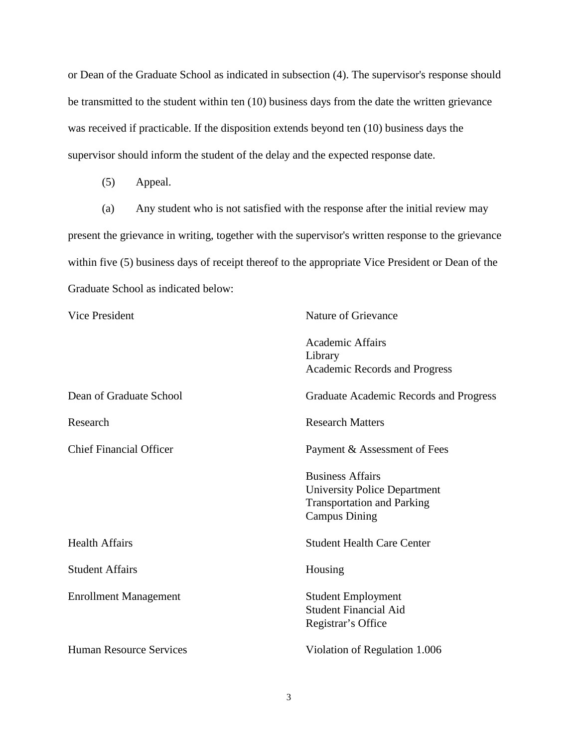or Dean of the Graduate School as indicated in subsection (4). The supervisor's response should be transmitted to the student within ten (10) business days from the date the written grievance was received if practicable. If the disposition extends beyond ten (10) business days the supervisor should inform the student of the delay and the expected response date.

(5) Appeal.

(a) Any student who is not satisfied with the response after the initial review may present the grievance in writing, together with the supervisor's written response to the grievance within five (5) business days of receipt thereof to the appropriate Vice President or Dean of the Graduate School as indicated below:

| Vice President                 | Nature of Grievance                                                                                                         |
|--------------------------------|-----------------------------------------------------------------------------------------------------------------------------|
|                                | <b>Academic Affairs</b><br>Library<br><b>Academic Records and Progress</b>                                                  |
| Dean of Graduate School        | Graduate Academic Records and Progress                                                                                      |
| Research                       | <b>Research Matters</b>                                                                                                     |
| <b>Chief Financial Officer</b> | Payment & Assessment of Fees                                                                                                |
|                                | <b>Business Affairs</b><br><b>University Police Department</b><br><b>Transportation and Parking</b><br><b>Campus Dining</b> |
| <b>Health Affairs</b>          | <b>Student Health Care Center</b>                                                                                           |
| <b>Student Affairs</b>         | Housing                                                                                                                     |
| <b>Enrollment Management</b>   | <b>Student Employment</b><br><b>Student Financial Aid</b><br>Registrar's Office                                             |
| <b>Human Resource Services</b> | Violation of Regulation 1.006                                                                                               |